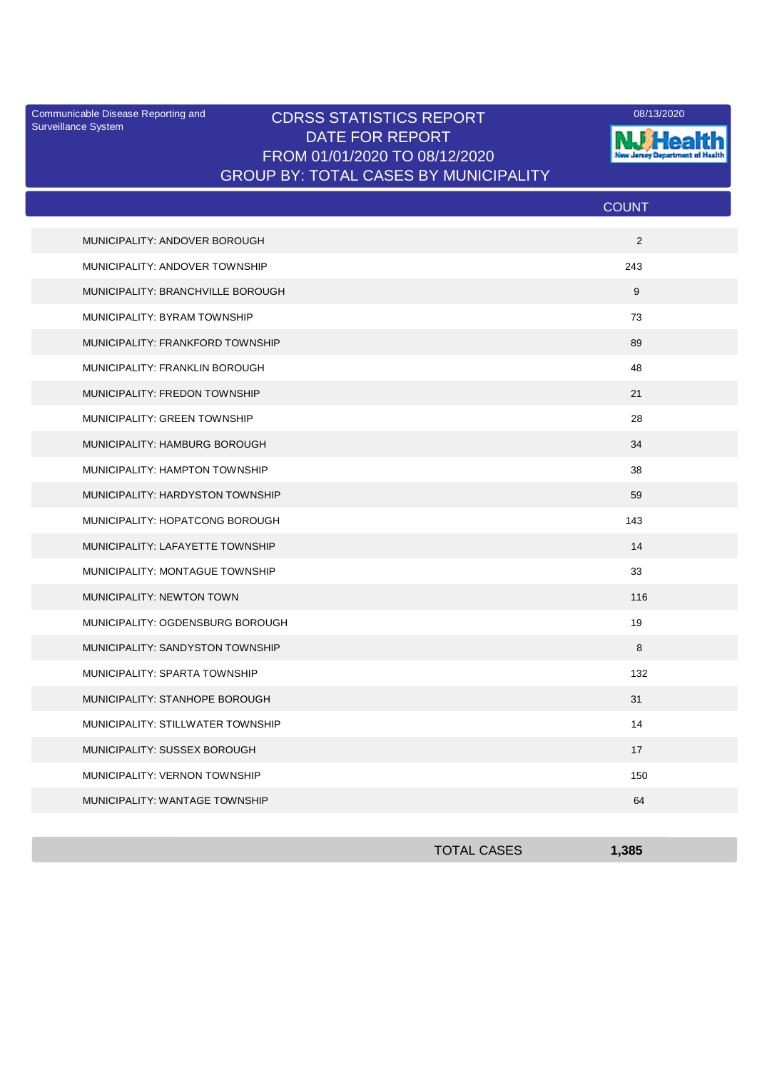Surveillance System

## Communicable Disease Reporting and CDRSS STATISTICS REPORT 2008/13/2020 DATE FOR REPORT FROM 01/01/2020 TO 08/12/2020 GROUP BY: TOTAL CASES BY MUNICIPALITY



|                                   | <b>COUNT</b> |
|-----------------------------------|--------------|
| MUNICIPALITY: ANDOVER BOROUGH     | 2            |
| MUNICIPALITY: ANDOVER TOWNSHIP    | 243          |
| MUNICIPALITY: BRANCHVILLE BOROUGH | 9            |
| MUNICIPALITY: BYRAM TOWNSHIP      | 73           |
| MUNICIPALITY: FRANKFORD TOWNSHIP  | 89           |
| MUNICIPALITY: FRANKLIN BOROUGH    | 48           |
| MUNICIPALITY: FREDON TOWNSHIP     | 21           |
| MUNICIPALITY: GREEN TOWNSHIP      | 28           |
| MUNICIPALITY: HAMBURG BOROUGH     | 34           |
| MUNICIPALITY: HAMPTON TOWNSHIP    | 38           |
| MUNICIPALITY: HARDYSTON TOWNSHIP  | 59           |
| MUNICIPALITY: HOPATCONG BOROUGH   | 143          |
| MUNICIPALITY: LAFAYETTE TOWNSHIP  | 14           |
| MUNICIPALITY: MONTAGUE TOWNSHIP   | 33           |
| <b>MUNICIPALITY: NEWTON TOWN</b>  | 116          |
| MUNICIPALITY: OGDENSBURG BOROUGH  | 19           |
| MUNICIPALITY: SANDYSTON TOWNSHIP  | 8            |
| MUNICIPALITY: SPARTA TOWNSHIP     | 132          |
| MUNICIPALITY: STANHOPE BOROUGH    | 31           |
| MUNICIPALITY: STILLWATER TOWNSHIP | 14           |
| MUNICIPALITY: SUSSEX BOROUGH      | 17           |
| MUNICIPALITY: VERNON TOWNSHIP     | 150          |
| MUNICIPALITY: WANTAGE TOWNSHIP    | 64           |

| <b>TOTAL CASES</b> | 1.385 |
|--------------------|-------|
|                    |       |